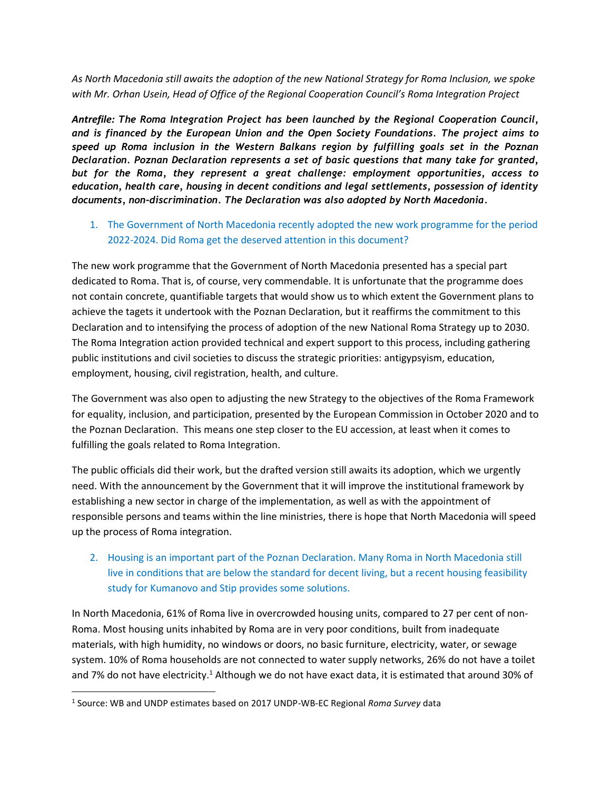*As North Macedonia still awaits the adoption of the new National Strategy for Roma Inclusion, we spoke with Mr. Orhan Usein, Head of Office of the Regional Cooperation Council's Roma Integration Project* 

*Antrefile: The Roma Integration Project has been launched by the Regional Cooperation Council, and is financed by the European Union and the Open Society Foundations. The project aims to speed up Roma inclusion in the Western Balkans region by fulfilling goals set in the Poznan Declaration. Poznan Declaration represents a set of basic questions that many take for granted, but for the Roma, they represent a great challenge: employment opportunities, access to education, health care, housing in decent conditions and legal settlements, possession of identity documents, non-discrimination. The Declaration was also adopted by North Macedonia.*

## 1. The Government of North Macedonia recently adopted the new work programme for the period 2022-2024. Did Roma get the deserved attention in this document?

The new work programme that the Government of North Macedonia presented has a special part dedicated to Roma. That is, of course, very commendable. It is unfortunate that the programme does not contain concrete, quantifiable targets that would show us to which extent the Government plans to achieve the tagets it undertook with the Poznan Declaration, but it reaffirms the commitment to this Declaration and to intensifying the process of adoption of the new National Roma Strategy up to 2030. The Roma Integration action provided technical and expert support to this process, including gathering public institutions and civil societies to discuss the strategic priorities: antigypsyism, education, employment, housing, civil registration, health, and culture.

The Government was also open to adjusting the new Strategy to the objectives of the Roma Framework for equality, inclusion, and participation, presented by the European Commission in October 2020 and to the Poznan Declaration. This means one step closer to the EU accession, at least when it comes to fulfilling the goals related to Roma Integration.

The public officials did their work, but the drafted version still awaits its adoption, which we urgently need. With the announcement by the Government that it will improve the institutional framework by establishing a new sector in charge of the implementation, as well as with the appointment of responsible persons and teams within the line ministries, there is hope that North Macedonia will speed up the process of Roma integration.

## 2. Housing is an important part of the Poznan Declaration. Many Roma in North Macedonia still live in conditions that are below the standard for decent living, but a recent housing feasibility study for Kumanovo and Stip provides some solutions.

In North Macedonia, 61% of Roma live in overcrowded housing units, compared to 27 per cent of non-Roma. Most housing units inhabited by Roma are in very poor conditions, built from inadequate materials, with high humidity, no windows or doors, no basic furniture, electricity, water, or sewage system. 10% of Roma households are not connected to water supply networks, 26% do not have a toilet and 7% do not have electricity.<sup>1</sup> Although we do not have exact data, it is estimated that around 30% of

 $\overline{\phantom{a}}$ 

<sup>1</sup> Source: WB and UNDP estimates based on 2017 UNDP-WB-EC Regional *Roma Survey* data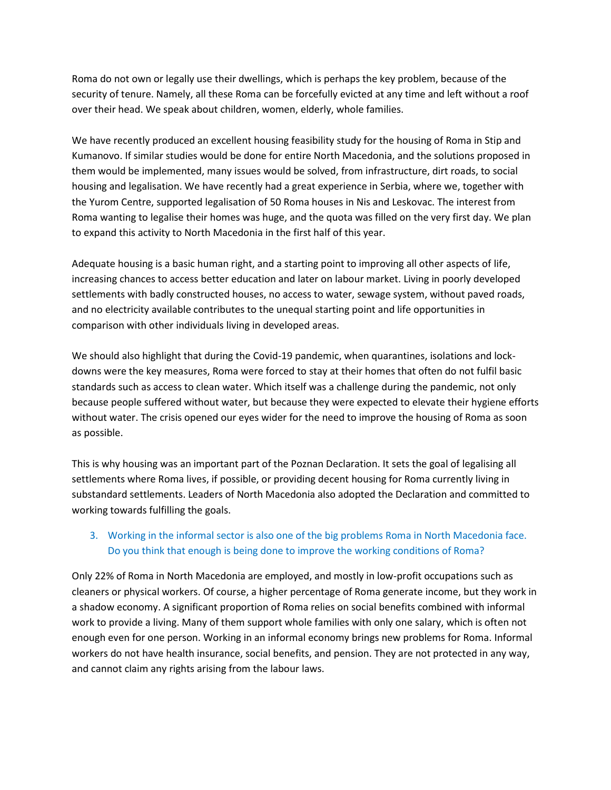Roma do not own or legally use their dwellings, which is perhaps the key problem, because of the security of tenure. Namely, all these Roma can be forcefully evicted at any time and left without a roof over their head. We speak about children, women, elderly, whole families.

We have recently produced an excellent housing feasibility study for the housing of Roma in Stip and Kumanovo. If similar studies would be done for entire North Macedonia, and the solutions proposed in them would be implemented, many issues would be solved, from infrastructure, dirt roads, to social housing and legalisation. We have recently had a great experience in Serbia, where we, together with the Yurom Centre, supported legalisation of 50 Roma houses in Nis and Leskovac. The interest from Roma wanting to legalise their homes was huge, and the quota was filled on the very first day. We plan to expand this activity to North Macedonia in the first half of this year.

Adequate housing is a basic human right, and a starting point to improving all other aspects of life, increasing chances to access better education and later on labour market. Living in poorly developed settlements with badly constructed houses, no access to water, sewage system, without paved roads, and no electricity available contributes to the unequal starting point and life opportunities in comparison with other individuals living in developed areas.

We should also highlight that during the Covid-19 pandemic, when quarantines, isolations and lockdowns were the key measures, Roma were forced to stay at their homes that often do not fulfil basic standards such as access to clean water. Which itself was a challenge during the pandemic, not only because people suffered without water, but because they were expected to elevate their hygiene efforts without water. The crisis opened our eyes wider for the need to improve the housing of Roma as soon as possible.

This is why housing was an important part of the Poznan Declaration. It sets the goal of legalising all settlements where Roma lives, if possible, or providing decent housing for Roma currently living in substandard settlements. Leaders of North Macedonia also adopted the Declaration and committed to working towards fulfilling the goals.

## 3. Working in the informal sector is also one of the big problems Roma in North Macedonia face. Do you think that enough is being done to improve the working conditions of Roma?

Only 22% of Roma in North Macedonia are employed, and mostly in low-profit occupations such as cleaners or physical workers. Of course, a higher percentage of Roma generate income, but they work in a shadow economy. A significant proportion of Roma relies on social benefits combined with informal work to provide a living. Many of them support whole families with only one salary, which is often not enough even for one person. Working in an informal economy brings new problems for Roma. Informal workers do not have health insurance, social benefits, and pension. They are not protected in any way, and cannot claim any rights arising from the labour laws.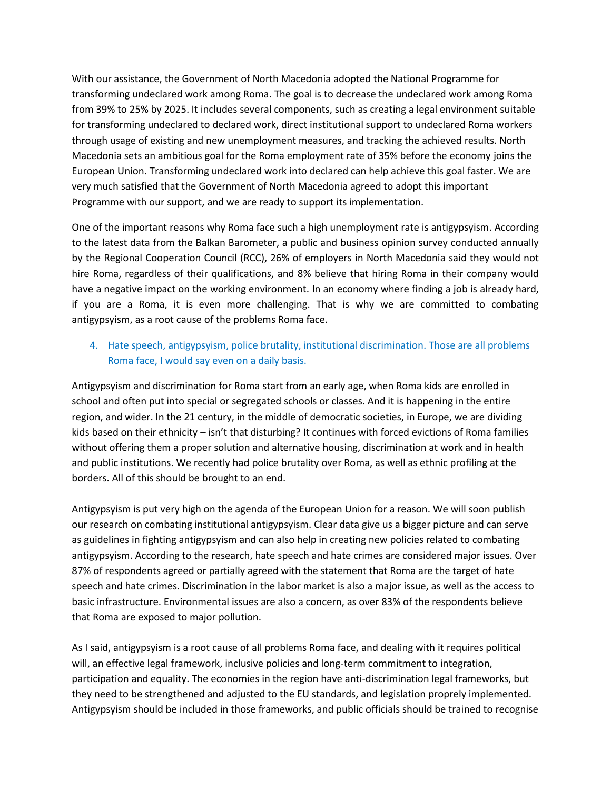With our assistance, the Government of North Macedonia adopted the National Programme for transforming undeclared work among Roma. The goal is to decrease the undeclared work among Roma from 39% to 25% by 2025. It includes several components, such as creating a legal environment suitable for transforming undeclared to declared work, direct institutional support to undeclared Roma workers through usage of existing and new unemployment measures, and tracking the achieved results. North Macedonia sets an ambitious goal for the Roma employment rate of 35% before the economy joins the European Union. Transforming undeclared work into declared can help achieve this goal faster. We are very much satisfied that the Government of North Macedonia agreed to adopt this important Programme with our support, and we are ready to support its implementation.

One of the important reasons why Roma face such a high unemployment rate is antigypsyism. According to the latest data from the Balkan Barometer, a public and business opinion survey conducted annually by the Regional Cooperation Council (RCC), 26% of employers in North Macedonia said they would not hire Roma, regardless of their qualifications, and 8% believe that hiring Roma in their company would have a negative impact on the working environment. In an economy where finding a job is already hard, if you are a Roma, it is even more challenging. That is why we are committed to combating antigypsyism, as a root cause of the problems Roma face.

## 4. Hate speech, antigypsyism, police brutality, institutional discrimination. Those are all problems Roma face, I would say even on a daily basis.

Antigypsyism and discrimination for Roma start from an early age, when Roma kids are enrolled in school and often put into special or segregated schools or classes. And it is happening in the entire region, and wider. In the 21 century, in the middle of democratic societies, in Europe, we are dividing kids based on their ethnicity – isn't that disturbing? It continues with forced evictions of Roma families without offering them a proper solution and alternative housing, discrimination at work and in health and public institutions. We recently had police brutality over Roma, as well as ethnic profiling at the borders. All of this should be brought to an end.

Antigypsyism is put very high on the agenda of the European Union for a reason. We will soon publish our research on combating institutional antigypsyism. Clear data give us a bigger picture and can serve as guidelines in fighting antigypsyism and can also help in creating new policies related to combating antigypsyism. According to the research, hate speech and hate crimes are considered major issues. Over 87% of respondents agreed or partially agreed with the statement that Roma are the target of hate speech and hate crimes. Discrimination in the labor market is also a major issue, as well as the access to basic infrastructure. Environmental issues are also a concern, as over 83% of the respondents believe that Roma are exposed to major pollution.

As I said, antigypsyism is a root cause of all problems Roma face, and dealing with it requires political will, an effective legal framework, inclusive policies and long-term commitment to integration, participation and equality. The economies in the region have anti-discrimination legal frameworks, but they need to be strengthened and adjusted to the EU standards, and legislation proprely implemented. Antigypsyism should be included in those frameworks, and public officials should be trained to recognise